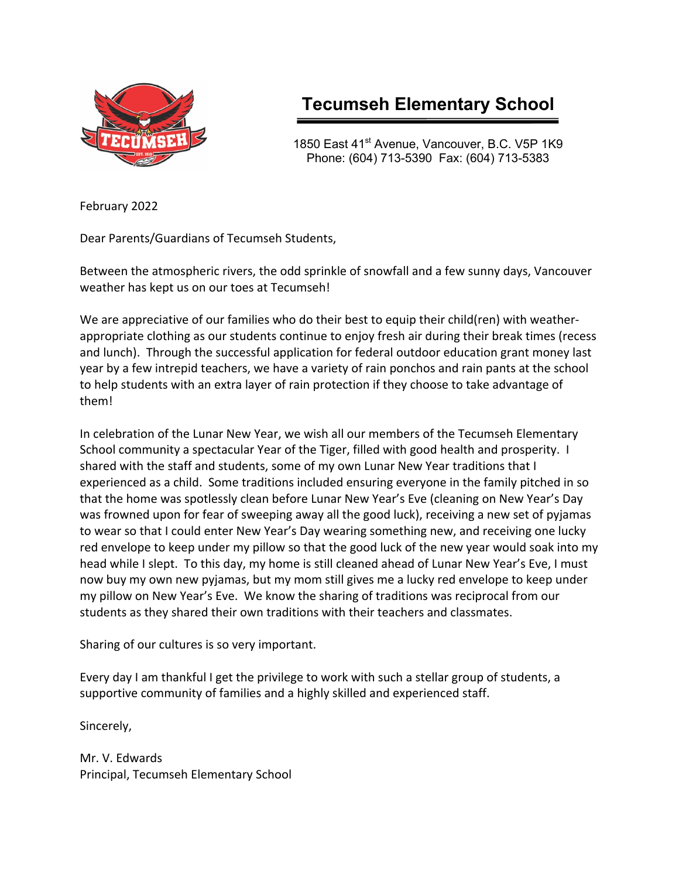

# **Tecumseh Elementary School**

1850 East 41<sup>st</sup> Avenue, Vancouver, B.C. V5P 1K9 Phone: (604) 713-5390 Fax: (604) 713-5383

February 2022

Dear Parents/Guardians of Tecumseh Students,

Between the atmospheric rivers, the odd sprinkle of snowfall and a few sunny days, Vancouver weather has kept us on our toes at Tecumseh!

We are appreciative of our families who do their best to equip their child(ren) with weatherappropriate clothing as our students continue to enjoy fresh air during their break times (recess and lunch). Through the successful application for federal outdoor education grant money last year by a few intrepid teachers, we have a variety of rain ponchos and rain pants at the school to help students with an extra layer of rain protection if they choose to take advantage of them!

In celebration of the Lunar New Year, we wish all our members of the Tecumseh Elementary School community a spectacular Year of the Tiger, filled with good health and prosperity. I shared with the staff and students, some of my own Lunar New Year traditions that I experienced as a child. Some traditions included ensuring everyone in the family pitched in so that the home was spotlessly clean before Lunar New Year's Eve (cleaning on New Year's Day was frowned upon for fear of sweeping away all the good luck), receiving a new set of pyjamas to wear so that I could enter New Year's Day wearing something new, and receiving one lucky red envelope to keep under my pillow so that the good luck of the new year would soak into my head while I slept. To this day, my home is still cleaned ahead of Lunar New Year's Eve, I must now buy my own new pyjamas, but my mom still gives me a lucky red envelope to keep under my pillow on New Year's Eve. We know the sharing of traditions was reciprocal from our students as they shared their own traditions with their teachers and classmates.

Sharing of our cultures is so very important.

Every day I am thankful I get the privilege to work with such a stellar group of students, a supportive community of families and a highly skilled and experienced staff.

Sincerely,

Mr. V. Edwards Principal, Tecumseh Elementary School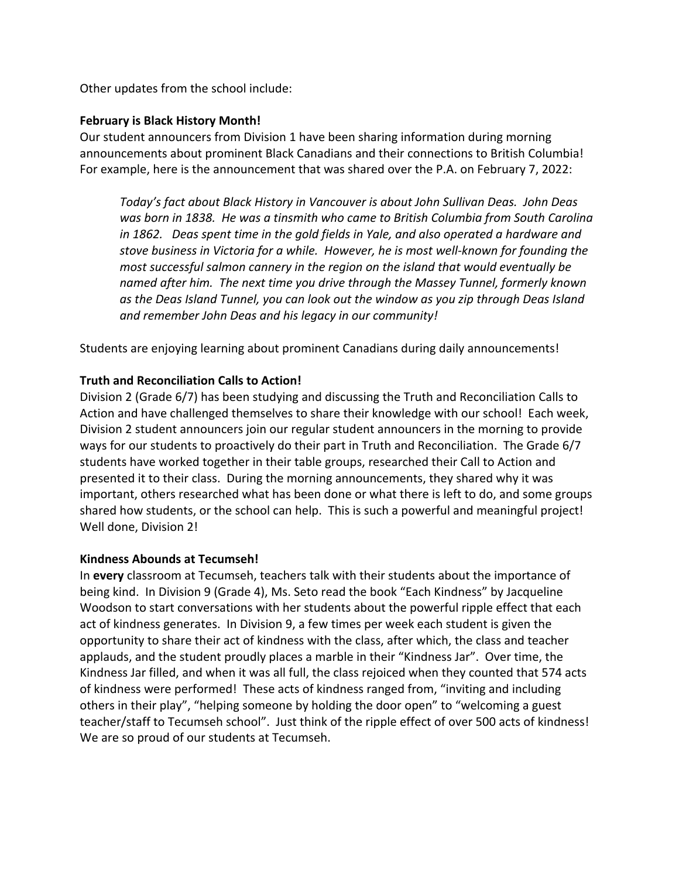Other updates from the school include:

## **February is Black History Month!**

Our student announcers from Division 1 have been sharing information during morning announcements about prominent Black Canadians and their connections to British Columbia! For example, here is the announcement that was shared over the P.A. on February 7, 2022:

*Today's fact about Black History in Vancouver is about John Sullivan Deas. John Deas was born in 1838. He was a tinsmith who came to British Columbia from South Carolina in 1862. Deas spent time in the gold fields in Yale, and also operated a hardware and stove business in Victoria for a while. However, he is most well-known for founding the most successful salmon cannery in the region on the island that would eventually be named after him. The next time you drive through the Massey Tunnel, formerly known as the Deas Island Tunnel, you can look out the window as you zip through Deas Island and remember John Deas and his legacy in our community!*

Students are enjoying learning about prominent Canadians during daily announcements!

## **Truth and Reconciliation Calls to Action!**

Division 2 (Grade 6/7) has been studying and discussing the Truth and Reconciliation Calls to Action and have challenged themselves to share their knowledge with our school! Each week, Division 2 student announcers join our regular student announcers in the morning to provide ways for our students to proactively do their part in Truth and Reconciliation. The Grade 6/7 students have worked together in their table groups, researched their Call to Action and presented it to their class. During the morning announcements, they shared why it was important, others researched what has been done or what there is left to do, and some groups shared how students, or the school can help. This is such a powerful and meaningful project! Well done, Division 2!

## **Kindness Abounds at Tecumseh!**

In **every** classroom at Tecumseh, teachers talk with their students about the importance of being kind. In Division 9 (Grade 4), Ms. Seto read the book "Each Kindness" by Jacqueline Woodson to start conversations with her students about the powerful ripple effect that each act of kindness generates. In Division 9, a few times per week each student is given the opportunity to share their act of kindness with the class, after which, the class and teacher applauds, and the student proudly places a marble in their "Kindness Jar". Over time, the Kindness Jar filled, and when it was all full, the class rejoiced when they counted that 574 acts of kindness were performed! These acts of kindness ranged from, "inviting and including others in their play", "helping someone by holding the door open" to "welcoming a guest teacher/staff to Tecumseh school". Just think of the ripple effect of over 500 acts of kindness! We are so proud of our students at Tecumseh.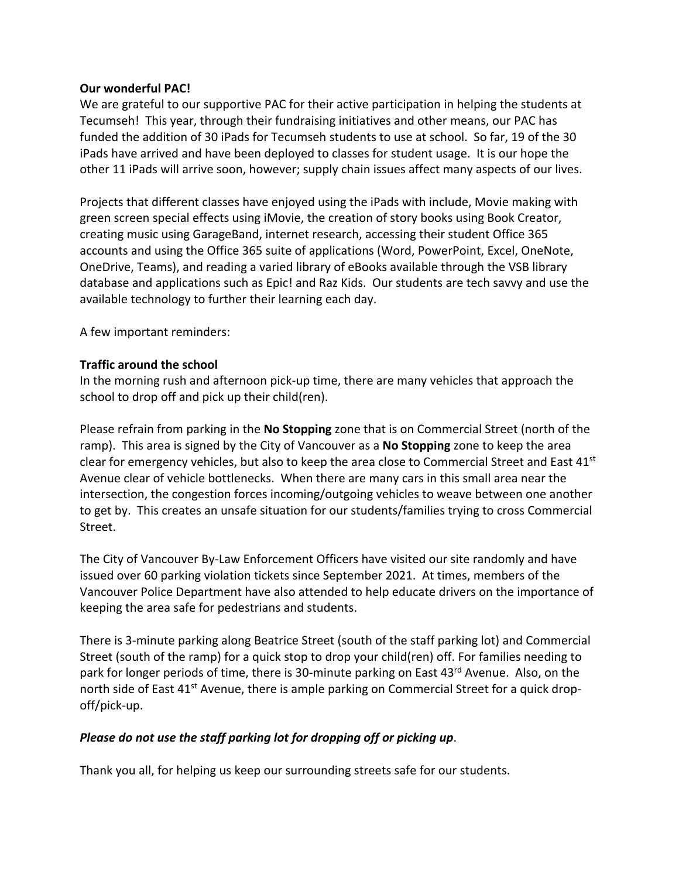## **Our wonderful PAC!**

We are grateful to our supportive PAC for their active participation in helping the students at Tecumseh! This year, through their fundraising initiatives and other means, our PAC has funded the addition of 30 iPads for Tecumseh students to use at school. So far, 19 of the 30 iPads have arrived and have been deployed to classes for student usage. It is our hope the other 11 iPads will arrive soon, however; supply chain issues affect many aspects of our lives.

Projects that different classes have enjoyed using the iPads with include, Movie making with green screen special effects using iMovie, the creation of story books using Book Creator, creating music using GarageBand, internet research, accessing their student Office 365 accounts and using the Office 365 suite of applications (Word, PowerPoint, Excel, OneNote, OneDrive, Teams), and reading a varied library of eBooks available through the VSB library database and applications such as Epic! and Raz Kids. Our students are tech savvy and use the available technology to further their learning each day.

A few important reminders:

## **Traffic around the school**

In the morning rush and afternoon pick-up time, there are many vehicles that approach the school to drop off and pick up their child(ren).

Please refrain from parking in the **No Stopping** zone that is on Commercial Street (north of the ramp). This area is signed by the City of Vancouver as a **No Stopping** zone to keep the area clear for emergency vehicles, but also to keep the area close to Commercial Street and East 41<sup>st</sup> Avenue clear of vehicle bottlenecks. When there are many cars in this small area near the intersection, the congestion forces incoming/outgoing vehicles to weave between one another to get by. This creates an unsafe situation for our students/families trying to cross Commercial Street.

The City of Vancouver By-Law Enforcement Officers have visited our site randomly and have issued over 60 parking violation tickets since September 2021. At times, members of the Vancouver Police Department have also attended to help educate drivers on the importance of keeping the area safe for pedestrians and students.

There is 3-minute parking along Beatrice Street (south of the staff parking lot) and Commercial Street (south of the ramp) for a quick stop to drop your child(ren) off. For families needing to park for longer periods of time, there is 30-minute parking on East 43<sup>rd</sup> Avenue. Also, on the north side of East 41<sup>st</sup> Avenue, there is ample parking on Commercial Street for a quick dropoff/pick-up.

## *Please do not use the staff parking lot for dropping off or picking up*.

Thank you all, for helping us keep our surrounding streets safe for our students.